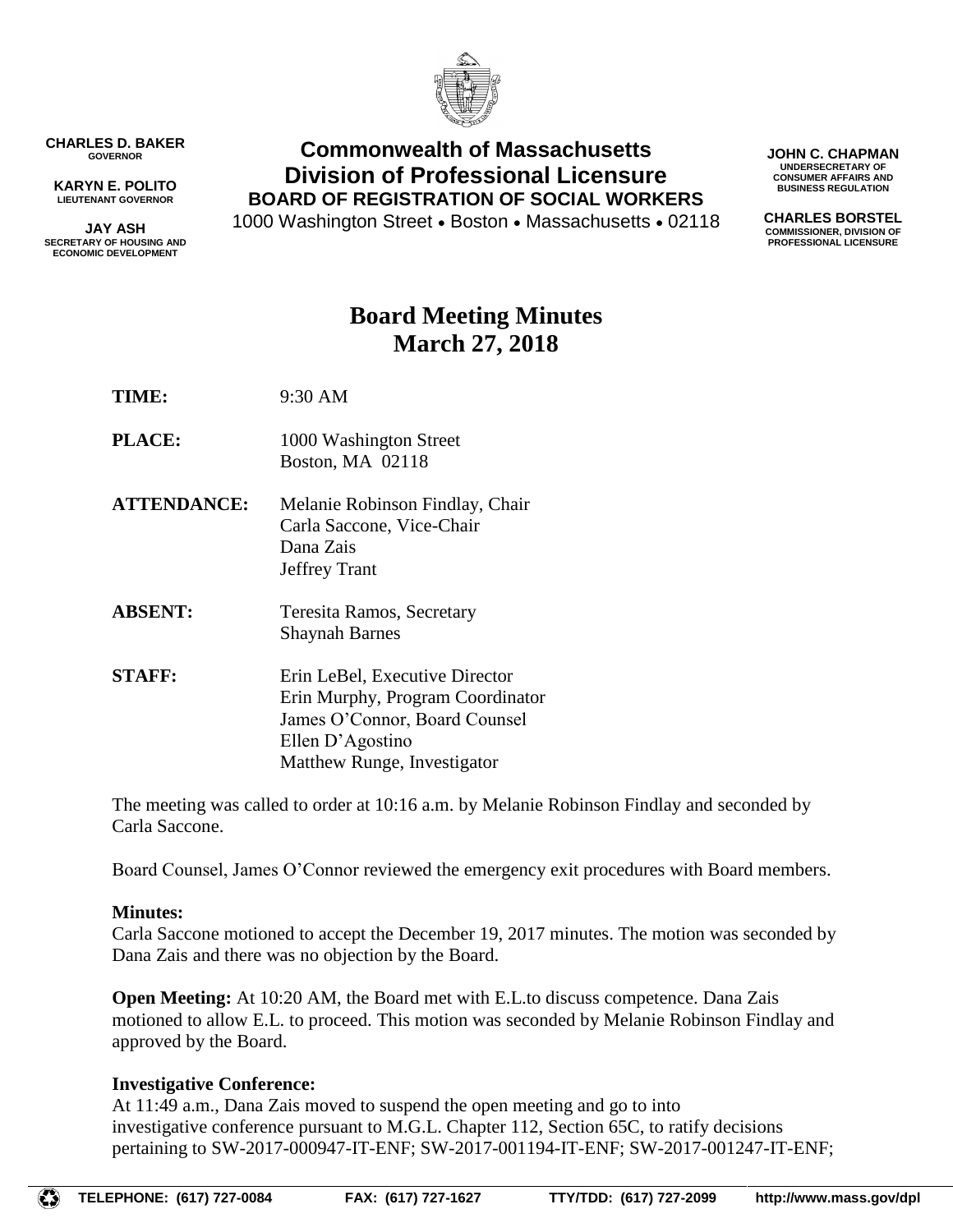

**CHARLES D. BAKER GOVERNOR**

**KARYN E. POLITO LIEUTENANT GOVERNOR**

**JAY ASH SECRETARY OF HOUSING AND ECONOMIC DEVELOPMENT**

**Commonwealth of Massachusetts Division of Professional Licensure BOARD OF REGISTRATION OF SOCIAL WORKERS**

1000 Washington Street • Boston • Massachusetts • 02118

**JOHN C. CHAPMAN UNDERSECRETARY OF CONSUMER AFFAIRS AND BUSINESS REGULATION**

**CHARLES BORSTEL COMMISSIONER, DIVISION OF PROFESSIONAL LICENSURE**

# **Board Meeting Minutes March 27, 2018**

**TIME:** 9:30 AM

- **PLACE:** 1000 Washington Street Boston, MA 02118
- **ATTENDANCE:** Melanie Robinson Findlay, Chair Carla Saccone, Vice-Chair Dana Zais Jeffrey Trant
- **ABSENT:** Teresita Ramos, Secretary Shaynah Barnes
- **STAFF:** Erin LeBel, Executive Director Erin Murphy, Program Coordinator James O'Connor, Board Counsel Ellen D'Agostino Matthew Runge, Investigator

The meeting was called to order at 10:16 a.m. by Melanie Robinson Findlay and seconded by Carla Saccone.

Board Counsel, James O'Connor reviewed the emergency exit procedures with Board members.

### **Minutes:**

Carla Saccone motioned to accept the December 19, 2017 minutes. The motion was seconded by Dana Zais and there was no objection by the Board.

**Open Meeting:** At 10:20 AM, the Board met with E.L.to discuss competence. Dana Zais motioned to allow E.L. to proceed. This motion was seconded by Melanie Robinson Findlay and approved by the Board.

## **Investigative Conference:**

At 11:49 a.m., Dana Zais moved to suspend the open meeting and go to into investigative conference pursuant to M.G.L. Chapter 112, Section 65C, to ratify decisions pertaining to SW-2017-000947-IT-ENF; SW-2017-001194-IT-ENF; SW-2017-001247-IT-ENF;

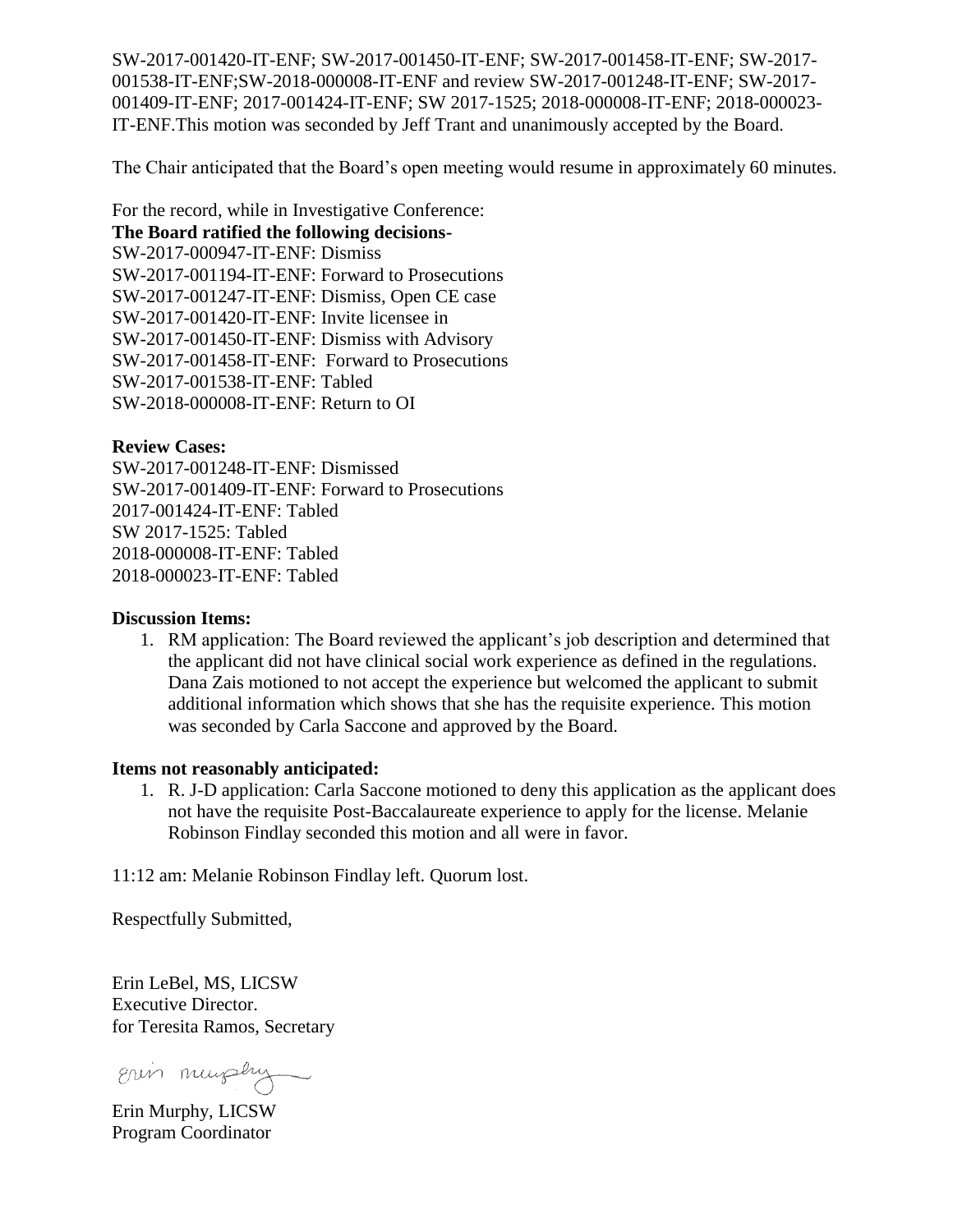SW-2017-001420-IT-ENF; SW-2017-001450-IT-ENF; SW-2017-001458-IT-ENF; SW-2017- 001538-IT-ENF;SW-2018-000008-IT-ENF and review SW-2017-001248-IT-ENF; SW-2017- 001409-IT-ENF; 2017-001424-IT-ENF; SW 2017-1525; 2018-000008-IT-ENF; 2018-000023- IT-ENF.This motion was seconded by Jeff Trant and unanimously accepted by the Board.

The Chair anticipated that the Board's open meeting would resume in approximately 60 minutes.

For the record, while in Investigative Conference: **The Board ratified the following decisions-**SW-2017-000947-IT-ENF: Dismiss SW-2017-001194-IT-ENF: Forward to Prosecutions SW-2017-001247-IT-ENF: Dismiss, Open CE case SW-2017-001420-IT-ENF: Invite licensee in SW-2017-001450-IT-ENF: Dismiss with Advisory SW-2017-001458-IT-ENF: Forward to Prosecutions SW-2017-001538-IT-ENF: Tabled SW-2018-000008-IT-ENF: Return to OI

#### **Review Cases:**

SW-2017-001248-IT-ENF: Dismissed SW-2017-001409-IT-ENF: Forward to Prosecutions 2017-001424-IT-ENF: Tabled SW 2017-1525: Tabled 2018-000008-IT-ENF: Tabled 2018-000023-IT-ENF: Tabled

#### **Discussion Items:**

1. RM application: The Board reviewed the applicant's job description and determined that the applicant did not have clinical social work experience as defined in the regulations. Dana Zais motioned to not accept the experience but welcomed the applicant to submit additional information which shows that she has the requisite experience. This motion was seconded by Carla Saccone and approved by the Board.

#### **Items not reasonably anticipated:**

1. R. J-D application: Carla Saccone motioned to deny this application as the applicant does not have the requisite Post-Baccalaureate experience to apply for the license. Melanie Robinson Findlay seconded this motion and all were in favor.

11:12 am: Melanie Robinson Findlay left. Quorum lost.

Respectfully Submitted,

Erin LeBel, MS, LICSW Executive Director. for Teresita Ramos, Secretary

Erin murphy

Erin Murphy, LICSW Program Coordinator